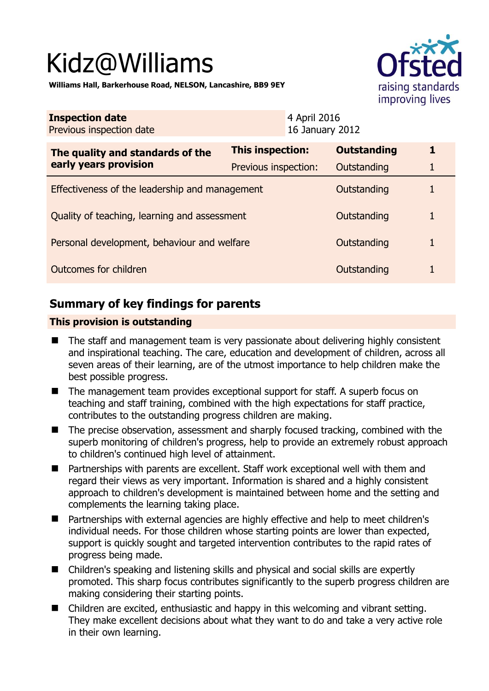# Kidz@Williams



**Williams Hall, Barkerhouse Road, NELSON, Lancashire, BB9 9EY** 

| <b>Inspection date</b><br>Previous inspection date        | 4 April 2016<br>16 January 2012 |  |                    |   |
|-----------------------------------------------------------|---------------------------------|--|--------------------|---|
| The quality and standards of the<br>early years provision | This inspection:                |  | <b>Outstanding</b> | 1 |
|                                                           | Previous inspection:            |  | Outstanding        |   |
| Effectiveness of the leadership and management            |                                 |  | Outstanding        |   |
| Quality of teaching, learning and assessment              |                                 |  | Outstanding        | 1 |
| Personal development, behaviour and welfare               |                                 |  | Outstanding        |   |
| Outcomes for children                                     |                                 |  | Outstanding        |   |

# **Summary of key findings for parents**

## **This provision is outstanding**

- The staff and management team is very passionate about delivering highly consistent and inspirational teaching. The care, education and development of children, across all seven areas of their learning, are of the utmost importance to help children make the best possible progress.
- The management team provides exceptional support for staff. A superb focus on teaching and staff training, combined with the high expectations for staff practice, contributes to the outstanding progress children are making.
- The precise observation, assessment and sharply focused tracking, combined with the superb monitoring of children's progress, help to provide an extremely robust approach to children's continued high level of attainment.
- Partnerships with parents are excellent. Staff work exceptional well with them and regard their views as very important. Information is shared and a highly consistent approach to children's development is maintained between home and the setting and complements the learning taking place.
- Partnerships with external agencies are highly effective and help to meet children's individual needs. For those children whose starting points are lower than expected, support is quickly sought and targeted intervention contributes to the rapid rates of progress being made.
- Children's speaking and listening skills and physical and social skills are expertly promoted. This sharp focus contributes significantly to the superb progress children are making considering their starting points.
- Children are excited, enthusiastic and happy in this welcoming and vibrant setting. They make excellent decisions about what they want to do and take a very active role in their own learning.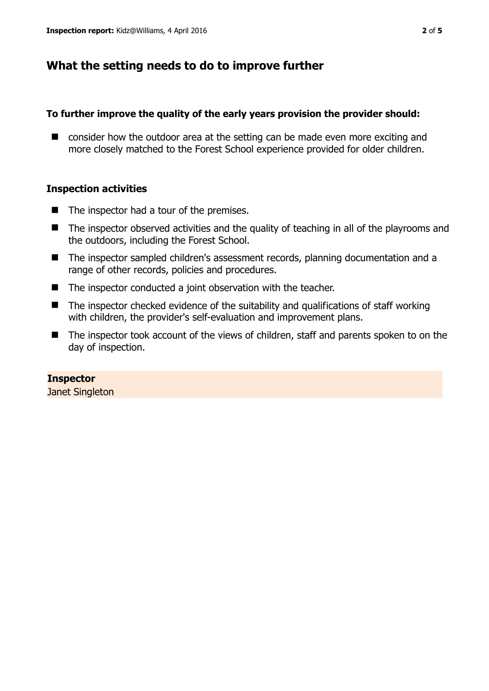## **What the setting needs to do to improve further**

## **To further improve the quality of the early years provision the provider should:**

■ consider how the outdoor area at the setting can be made even more exciting and more closely matched to the Forest School experience provided for older children.

## **Inspection activities**

- $\blacksquare$  The inspector had a tour of the premises.
- The inspector observed activities and the quality of teaching in all of the playrooms and the outdoors, including the Forest School.
- The inspector sampled children's assessment records, planning documentation and a range of other records, policies and procedures.
- The inspector conducted a joint observation with the teacher.
- $\blacksquare$  The inspector checked evidence of the suitability and qualifications of staff working with children, the provider's self-evaluation and improvement plans.
- The inspector took account of the views of children, staff and parents spoken to on the day of inspection.

## **Inspector**

Janet Singleton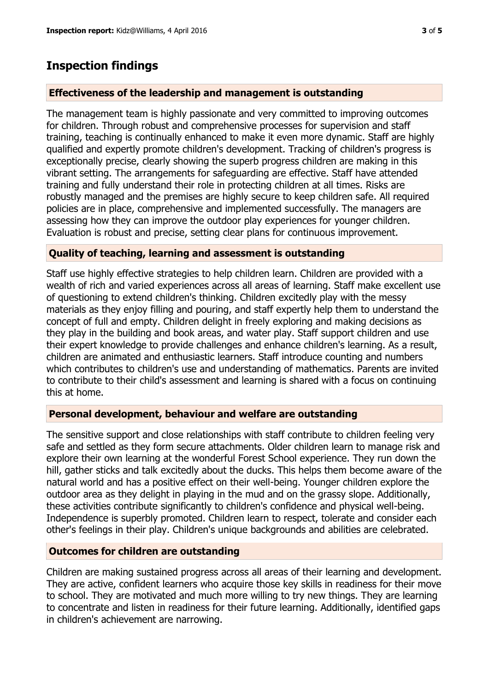## **Inspection findings**

## **Effectiveness of the leadership and management is outstanding**

The management team is highly passionate and very committed to improving outcomes for children. Through robust and comprehensive processes for supervision and staff training, teaching is continually enhanced to make it even more dynamic. Staff are highly qualified and expertly promote children's development. Tracking of children's progress is exceptionally precise, clearly showing the superb progress children are making in this vibrant setting. The arrangements for safeguarding are effective. Staff have attended training and fully understand their role in protecting children at all times. Risks are robustly managed and the premises are highly secure to keep children safe. All required policies are in place, comprehensive and implemented successfully. The managers are assessing how they can improve the outdoor play experiences for younger children. Evaluation is robust and precise, setting clear plans for continuous improvement.

#### **Quality of teaching, learning and assessment is outstanding**

Staff use highly effective strategies to help children learn. Children are provided with a wealth of rich and varied experiences across all areas of learning. Staff make excellent use of questioning to extend children's thinking. Children excitedly play with the messy materials as they enjoy filling and pouring, and staff expertly help them to understand the concept of full and empty. Children delight in freely exploring and making decisions as they play in the building and book areas, and water play. Staff support children and use their expert knowledge to provide challenges and enhance children's learning. As a result, children are animated and enthusiastic learners. Staff introduce counting and numbers which contributes to children's use and understanding of mathematics. Parents are invited to contribute to their child's assessment and learning is shared with a focus on continuing this at home.

#### **Personal development, behaviour and welfare are outstanding**

The sensitive support and close relationships with staff contribute to children feeling very safe and settled as they form secure attachments. Older children learn to manage risk and explore their own learning at the wonderful Forest School experience. They run down the hill, gather sticks and talk excitedly about the ducks. This helps them become aware of the natural world and has a positive effect on their well-being. Younger children explore the outdoor area as they delight in playing in the mud and on the grassy slope. Additionally, these activities contribute significantly to children's confidence and physical well-being. Independence is superbly promoted. Children learn to respect, tolerate and consider each other's feelings in their play. Children's unique backgrounds and abilities are celebrated.

## **Outcomes for children are outstanding**

Children are making sustained progress across all areas of their learning and development. They are active, confident learners who acquire those key skills in readiness for their move to school. They are motivated and much more willing to try new things. They are learning to concentrate and listen in readiness for their future learning. Additionally, identified gaps in children's achievement are narrowing.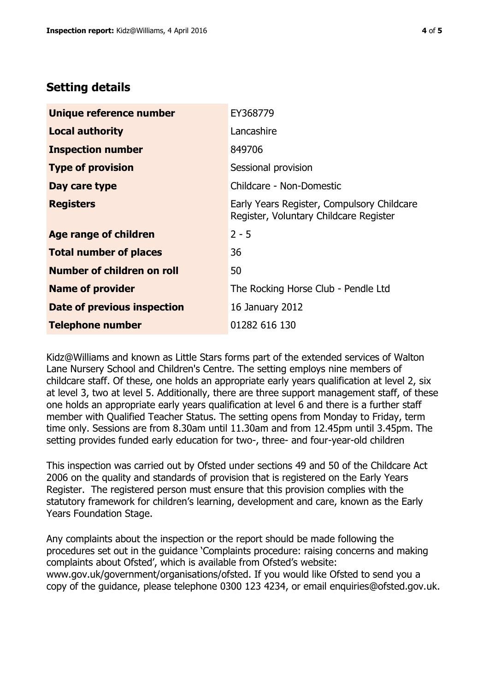# **Setting details**

| Unique reference number       | EY368779                                                                             |  |
|-------------------------------|--------------------------------------------------------------------------------------|--|
| <b>Local authority</b>        | Lancashire                                                                           |  |
| <b>Inspection number</b>      | 849706                                                                               |  |
| <b>Type of provision</b>      | Sessional provision                                                                  |  |
| Day care type                 | Childcare - Non-Domestic                                                             |  |
| <b>Registers</b>              | Early Years Register, Compulsory Childcare<br>Register, Voluntary Childcare Register |  |
| Age range of children         | $2 - 5$                                                                              |  |
| <b>Total number of places</b> | 36                                                                                   |  |
| Number of children on roll    | 50                                                                                   |  |
| <b>Name of provider</b>       | The Rocking Horse Club - Pendle Ltd                                                  |  |
| Date of previous inspection   | 16 January 2012                                                                      |  |
| <b>Telephone number</b>       | 01282 616 130                                                                        |  |

Kidz@Williams and known as Little Stars forms part of the extended services of Walton Lane Nursery School and Children's Centre. The setting employs nine members of childcare staff. Of these, one holds an appropriate early years qualification at level 2, six at level 3, two at level 5. Additionally, there are three support management staff, of these one holds an appropriate early years qualification at level 6 and there is a further staff member with Qualified Teacher Status. The setting opens from Monday to Friday, term time only. Sessions are from 8.30am until 11.30am and from 12.45pm until 3.45pm. The setting provides funded early education for two-, three- and four-year-old children

This inspection was carried out by Ofsted under sections 49 and 50 of the Childcare Act 2006 on the quality and standards of provision that is registered on the Early Years Register. The registered person must ensure that this provision complies with the statutory framework for children's learning, development and care, known as the Early Years Foundation Stage.

Any complaints about the inspection or the report should be made following the procedures set out in the guidance 'Complaints procedure: raising concerns and making complaints about Ofsted', which is available from Ofsted's website: www.gov.uk/government/organisations/ofsted. If you would like Ofsted to send you a copy of the guidance, please telephone 0300 123 4234, or email enquiries@ofsted.gov.uk.